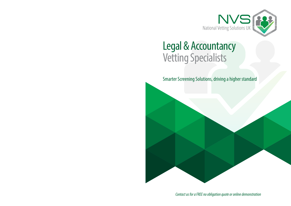

# Legal & Accountancy Vetting Specialists

CANDIDATE

Smarter Screening Solutions, driving a higher standard

Contact us for a FREE no obligation quote or online demonstration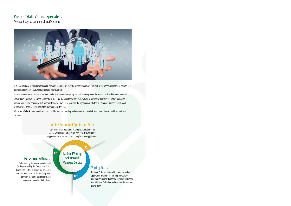## Premier Staff Vetting Specialists

Average 5 days to complete all staff vetting's



In highly regulated sectors such as Legal & Accountancy, integrity is of the utmost importance. Fraudulent representation in this sector can have a devastating impact on your reputation and your business.

It is therefore essential to ensure that your candidate is who they say they are and genuinely holds the professional qualifications required.

Detailed pre-employment screening specific to the Legal & Accountancy sectors allows you to operate within strict regulatory standards and can give you the assurance that comes with knowing you have recruited the right person, whether it is trainees, support teams, legal secretaries, partners, qualified solicitors, lawyers, barristers etc.

We perform full risk assessment in our Legal and Accountancy vetting, and ensure that not only is your reputation rock solid, but so is your customers.

### Online Automated Application Form

Company invites applicants to complete the automated online vetting application form. Access to dedicated Free support centre to help applicants complete their applications.



in real-time.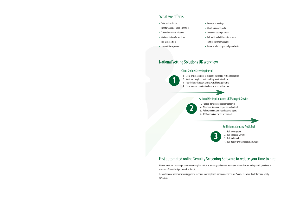## What we offer is:

- Total online ability
- Fast turnarounds on all screenings
- Tailored screening solutions
- Online solutions for applicants
- Full Mi Reporting
- Account Management
- Low cost screenings
- Client branded reports
- Screening packages to suit
- Full audit trail of the entire process
- Total industry compliance
- Peace of mind for you and your clients

## National Vetting Solutions UK workflow

**2**

#### Client Online Screening Portal

- 1. Client invites applicant to complete the online vetting application
- 2. Applicant completes online vetting application form
- 3. Free dedicated support centre available to applicants
- 4. Client approves application form to be security vetted

#### National Vetting Solutions UK Managed Service

- 1. Full real-time online applicant progress
- 2. All adverse information passed on to client
- 3. Fully compliant completed vetting reports
- 4. 100% compliant checks performed

**3**

#### Full information and Audit Trail

- 1. Full notes system
- 2. Full Managed Service
- 3. Full Audit trail
- 4. Full Quality and Compliance assurance

## Fast automated online Security Screening Software to reduce your time to hire:

Manual applicant screening is time-consuming, but critical to protect your business from reputational damage and up to £20,000 fines to ensure staff have the right to work in the UK.

Fully automated applicant screening process to ensure your applicants background checks are: Seamless, Faster, Hassle Free and totally compliant.